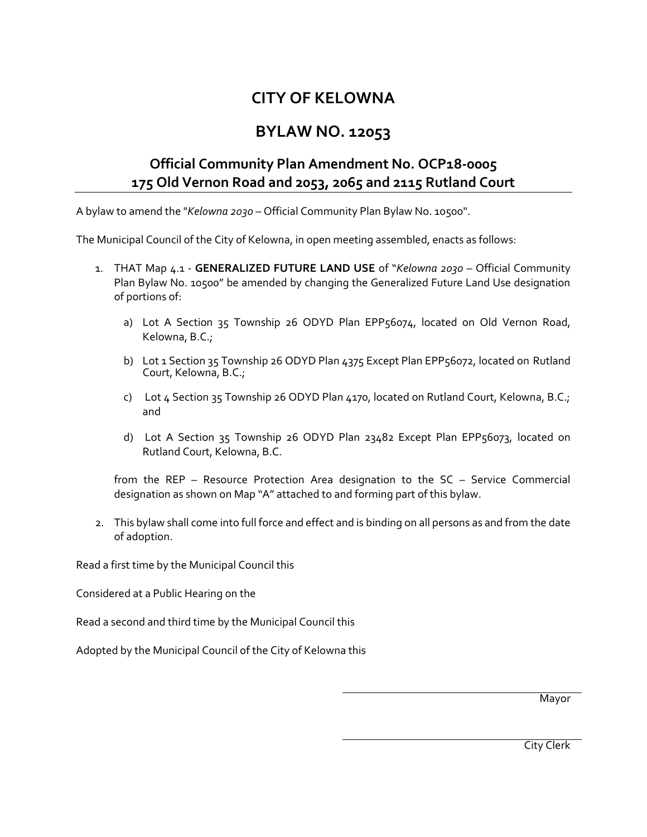## **CITY OF KELOWNA**

## **BYLAW NO. 12053**

## **Official Community Plan Amendment No. OCP18-0005 175 Old Vernon Road and 2053, 2065 and 2115 Rutland Court**

A bylaw to amend the "*Kelowna 2030* – Official Community Plan Bylaw No. 10500".

The Municipal Council of the City of Kelowna, in open meeting assembled, enacts as follows:

- 1. THAT Map 4.1 **GENERALIZED FUTURE LAND USE** of "*Kelowna 2030* Official Community Plan Bylaw No. 10500" be amended by changing the Generalized Future Land Use designation of portions of:
	- a) Lot A Section 35 Township 26 ODYD Plan EPP56074, located on Old Vernon Road, Kelowna, B.C.;
	- b) Lot 1 Section 35 Township 26 ODYD Plan 4375 Except Plan EPP56072, located on Rutland Court, Kelowna, B.C.;
	- c) Lot 4 Section 35 Township 26 ODYD Plan 4170, located on Rutland Court, Kelowna, B.C.; and
	- d) Lot A Section 35 Township 26 ODYD Plan 23482 Except Plan EPP56073, located on Rutland Court, Kelowna, B.C.

from the REP – Resource Protection Area designation to the SC – Service Commercial designation as shown on Map "A" attached to and forming part of this bylaw.

2. This bylaw shall come into full force and effect and is binding on all persons as and from the date of adoption.

Read a first time by the Municipal Council this

Considered at a Public Hearing on the

Read a second and third time by the Municipal Council this

Adopted by the Municipal Council of the City of Kelowna this

Mayor